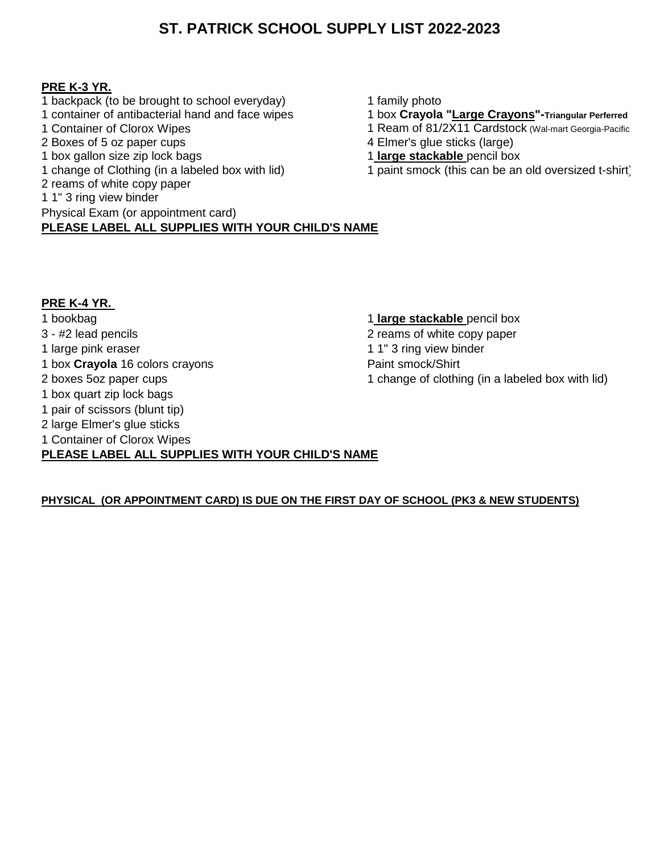#### **PRE K-3 YR.**

- 1 backpack (to be brought to school everyday) 1 family photo<br>1 container of antibacterial hand and face wipes 1 box Crayola
- 
- 2 Boxes of 5 oz paper cups<br>
1 box gallon size zip lock bags<br>
1 **large stackable** pencil box
- 
- 1 box gallon size zip lock bags<br>1 change of Clothing (in a labeled box with lid)
- 2 reams of white copy paper
- 1 1" 3 ring view binder
- Physical Exam (or appointment card)

**PLEASE LABEL ALL SUPPLIES WITH YOUR CHILD'S NAME**

- 
- 1 container of antibacterial hand and face wipes 1 box **Crayola "Large Crayons"-Triangular Perferred**
	- 1 Ream of 81/2X11 Cardstock (Wal-mart Georgia-Pacific
	-
	-
	- 1 paint smock (this can be an old oversized t-shirt)

### **PRE K-4 YR.**

1 bookbag 1 **large stackable** pencil box 3 - #2 lead pencils 2 reams of white copy paper 1 large pink eraser 1 1 and 1 1" 3 ring view binder 1 box **Crayola** 16 colors crayons Paint smock/Shirt 2 boxes 5oz paper cups 2 boxes 5oz paper cups 1 change of clothing (in a labeled box with lid) 1 box quart zip lock bags 1 pair of scissors (blunt tip) 2 large Elmer's glue sticks 1 Container of Clorox Wipes **PLEASE LABEL ALL SUPPLIES WITH YOUR CHILD'S NAME**

#### **PHYSICAL (OR APPOINTMENT CARD) IS DUE ON THE FIRST DAY OF SCHOOL (PK3 & NEW STUDENTS)**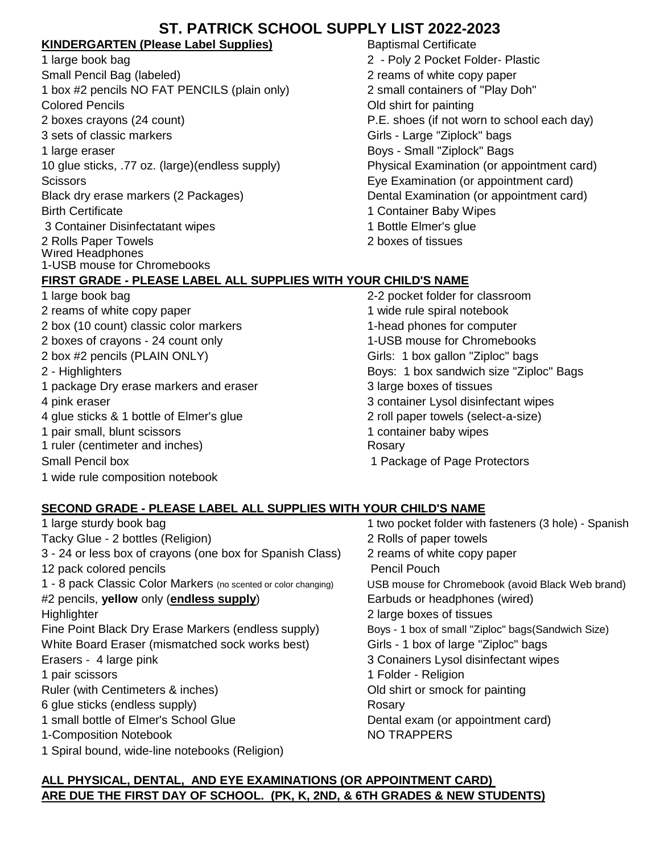### **KINDERGARTEN (Please Label Supplies)** Baptismal Certificate

1 large book bag 2 - Poly 2 Pocket Folder- Plastic Small Pencil Bag (labeled) 2 reams of white copy paper 1 box #2 pencils NO FAT PENCILS (plain only) 2 small containers of "Play Doh" Colored Pencils Old shirt for painting 2 boxes crayons (24 count) P.E. shoes (if not worn to school each day) 3 sets of classic markers Girls - Large "Ziplock" bags 1 large eraser **Boys - Small "Ziplock" Bags** - Small "Ziplock" Bags 10 glue sticks, .77 oz. (large)(endless supply) Physical Examination (or appointment card) Scissors Eye Examination (or appointment card) Black dry erase markers (2 Packages) Dental Examination (or appointment card) Birth Certificate 1 Container Baby Wipes 3 Container Disinfectatant wipes 1 Bottle Elmer's glue 2 Rolls Paper Towels 2 boxes of tissues Wired Headphones 1-USB mouse for Chromebooks **FIRST GRADE - PLEASE LABEL ALL SUPPLIES WITH YOUR CHILD'S NAME**

- 1 large book bag 2-2 pocket folder for classroom
- 2 box (10 count) classic color markers 1-head phones for computer 2 boxes of crayons - 24 count only 1-USB mouse for Chromebooks 2 box #2 pencils (PLAIN ONLY) Girls: 1 box gallon "Ziploc" bags 2 - Highlighters Boys: 1 box sandwich size "Ziploc" Bags 1 package Dry erase markers and eraser **3** large boxes of tissues 4 pink eraser 3 container Lysol disinfectant wipes
- 
- 
- 
- 1 wide rule composition notebook

## **SECOND GRADE - PLEASE LABEL ALL SUPPLIES WITH YOUR CHILD'S NAME**

1 large sturdy book bag 1 two pocket folder with fasteners (3 hole) - Spanish Tacky Glue - 2 bottles (Religion) 2 Rolls of paper towels 3 - 24 or less box of crayons (one box for Spanish Class) 2 reams of white copy paper 12 pack colored pencils **Pencil Pouch** 1 - 8 pack Classic Color Markers (no scented or color changing) USB mouse for Chromebook (avoid Black Web brand) #2 pencils, **yellow** only (**endless supply**) Earbuds or headphones (wired) Highlighter 2 large boxes of tissues Fine Point Black Dry Erase Markers (endless supply) Boys - 1 box of small "Ziploc" bags(Sandwich Size) White Board Eraser (mismatched sock works best) Girls - 1 box of large "Ziploc" bags Erasers - 4 large pink 3 Conainers Lysol disinfectant wipes 1 pair scissors 1 Folder - Religion Ruler (with Centimeters & inches) Cold shirt or smock for painting 6 glue sticks (endless supply) Rosary 1 small bottle of Elmer's School Glue Dental exam (or appointment card) 1-Composition Notebook NO TRAPPERS 1 Spiral bound, wide-line notebooks (Religion)

### **ALL PHYSICAL, DENTAL, AND EYE EXAMINATIONS (OR APPOINTMENT CARD) ARE DUE THE FIRST DAY OF SCHOOL. (PK, K, 2ND, & 6TH GRADES & NEW STUDENTS)**

# 2 reams of white copy paper 1 wide rule spiral notebook

- 
- 
- 
- 
- 4 glue sticks & 1 bottle of Elmer's glue 2 roll paper towels (select-a-size)
- 1 pair small, blunt scissors 1 container baby wipes
- 1 ruler (centimeter and inches) Rosary

Small Pencil box 1 Package of Page Protectors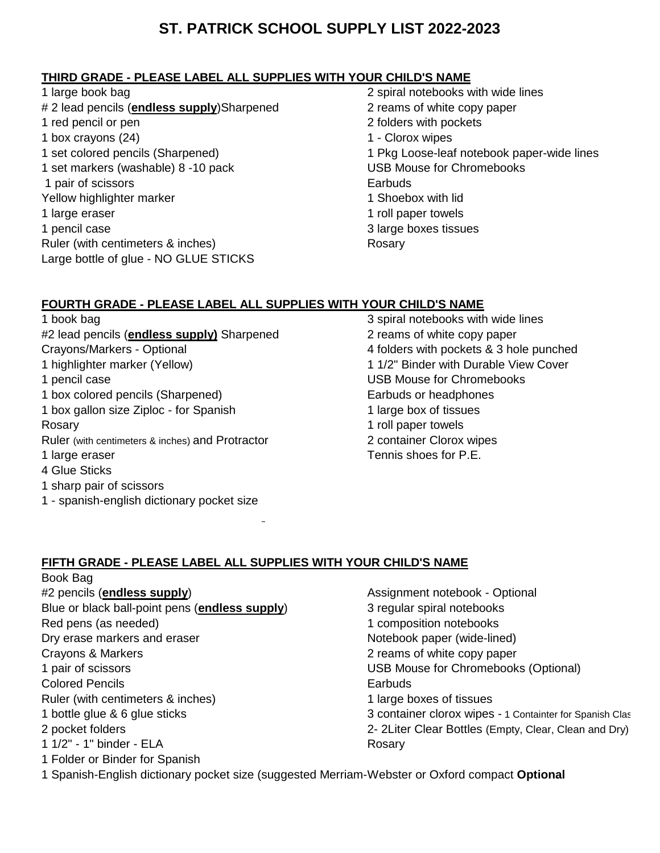### **THIRD GRADE - PLEASE LABEL ALL SUPPLIES WITH YOUR CHILD'S NAME**

- 1 large book bag 2 spiral notebooks with wide lines # 2 lead pencils (**endless supply**)Sharpened 2 reams of white copy paper 1 red pencil or pen 2 folders with pockets 1 box crayons (24) 1 - Clorox wipes 1 set markers (washable) 8 -10 pack 1 pair of scissors **Earbuds** Yellow highlighter marker 1 Shoebox with lid 1 large eraser 1 roll paper towels 1 pencil case 3 large boxes tissues Ruler (with centimeters & inches) Rosary Large bottle of glue - NO GLUE STICKS
- 1 set colored pencils (Sharpened)<br>
1 Set markers (washable) 8 -10 pack<br>
1 Set markers (washable) 8 -10 pack<br>
1 Set Mouse for Chromebooks

### **FOURTH GRADE - PLEASE LABEL ALL SUPPLIES WITH YOUR CHILD'S NAME**

- 1 book bag 3 spiral notebooks with wide lines #2 lead pencils (**endless supply)** Sharpened 2 reams of white copy paper Crayons/Markers - Optional 4 folders with pockets & 3 hole punched 1 highlighter marker (Yellow) 1 1/2" Binder with Durable View Cover 1 pencil case USB Mouse for Chromebooks 1 box colored pencils (Sharpened) Earbuds or headphones 1 box gallon size Ziploc - for Spanish 1 large box of tissues Rosary **1** roll paper towels Ruler (with centimeters & inches) and Protractor 2 container Clorox wipes 1 large eraser Tennis shoes for P.E. 4 Glue Sticks 1 sharp pair of scissors
- 1 spanish-english dictionary pocket size

### **FIFTH GRADE - PLEASE LABEL ALL SUPPLIES WITH YOUR CHILD'S NAME**

- Book Bag #2 pencils (**endless supply**) Assignment notebook - Optional Blue or black ball-point pens (**endless supply**) 3 regular spiral notebooks Red pens (as needed) 1 composition notebooks Dry erase markers and eraser Notebook paper (wide-lined) Crayons & Markers 2 reams of white copy paper 1 pair of scissors USB Mouse for Chromebooks (Optional) Colored Pencils Earbuds Ruler (with centimeters & inches) 1 large boxes of tissues 1 bottle glue & 6 glue sticks 3 container clorox wipes - 1 Containter for Spanish Clas 2 pocket folders 2- 2Liter Clear Bottles (Empty, Clear, Clean and Dry) 1 1/2" - 1" binder - ELA Rosary 1 Folder or Binder for Spanish
	-
- 1 Spanish-English dictionary pocket size (suggested Merriam-Webster or Oxford compact **Optional**